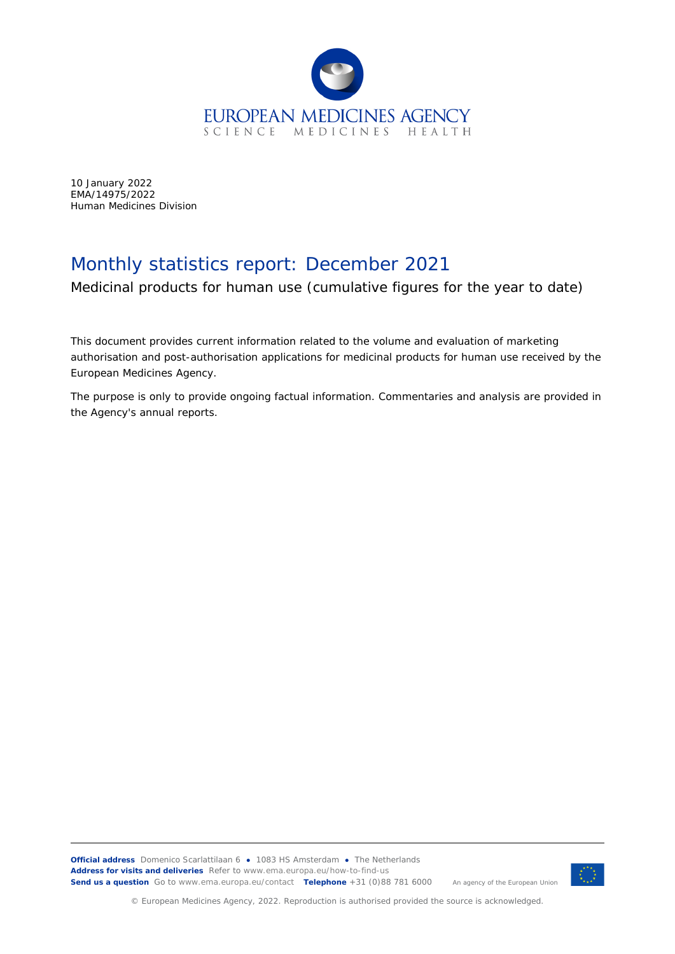

10 January 2022 EMA/14975/2022 Human Medicines Division

## Monthly statistics report: December 2021

Medicinal products for human use (cumulative figures for the year to date)

This document provides current information related to the volume and evaluation of marketing authorisation and post-authorisation applications for medicinal products for human use received by the European Medicines Agency.

The purpose is only to provide ongoing factual information. Commentaries and analysis are provided in the Agency's annual reports.



© European Medicines Agency, 2022. Reproduction is authorised provided the source is acknowledged.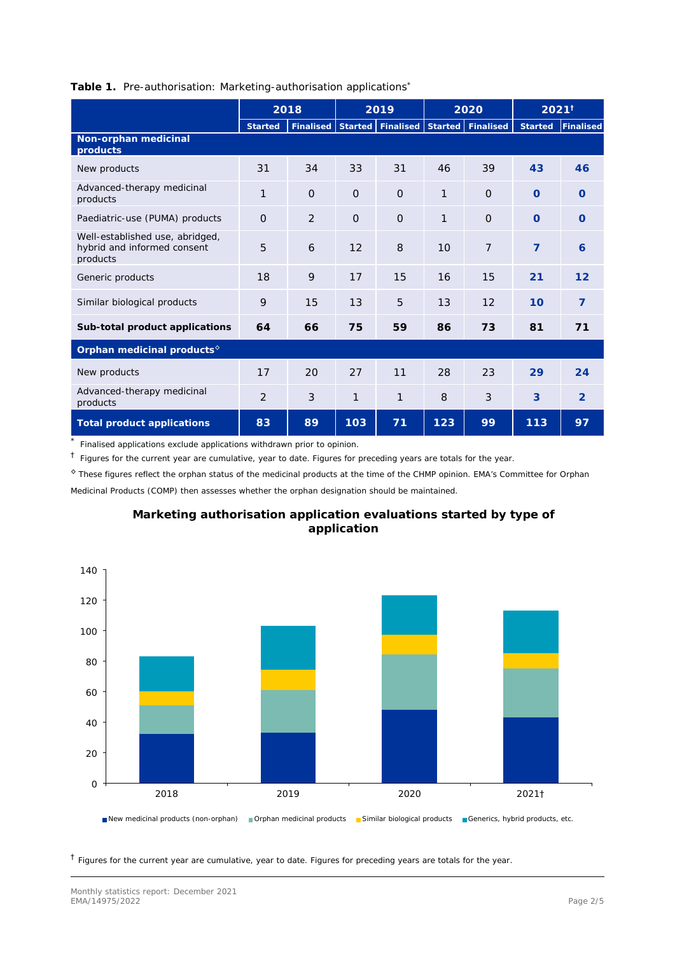|                                                                            | 2018           |                |          | 2019                                      |              | 2020           |                | $2021^{\dagger}$ |  |
|----------------------------------------------------------------------------|----------------|----------------|----------|-------------------------------------------|--------------|----------------|----------------|------------------|--|
|                                                                            | <b>Started</b> | Finalised      |          | Started   Finalised   Started   Finalised |              |                | <b>Started</b> | <b>Finalised</b> |  |
| Non-orphan medicinal<br>products                                           |                |                |          |                                           |              |                |                |                  |  |
| New products                                                               | 31             | 34             | 33       | 31                                        | 46           | 39             | 43             | 46               |  |
| Advanced-therapy medicinal<br>products                                     | $\mathbf{1}$   | $\Omega$       | $\Omega$ | $\Omega$                                  | $\mathbf{1}$ | $\Omega$       | $\Omega$       | $\Omega$         |  |
| Paediatric-use (PUMA) products                                             | $\Omega$       | $\overline{2}$ | $\Omega$ | $\Omega$                                  | 1            | $\overline{O}$ | $\Omega$       | $\Omega$         |  |
| Well-established use, abridged,<br>hybrid and informed consent<br>products | 5              | 6              | 12       | 8                                         | 10           | $\overline{7}$ | $\overline{7}$ | 6                |  |
| Generic products                                                           | 18             | 9              | 17       | 15                                        | 16           | 15             | 21             | 12               |  |
| Similar biological products                                                | 9              | 15             | 13       | 5                                         | 13           | 12             | 10             | $\overline{7}$   |  |
| Sub-total product applications                                             | 64             | 66             | 75       | 59                                        | 86           | 73             | 81             | 71               |  |
| Orphan medicinal products <sup>6</sup>                                     |                |                |          |                                           |              |                |                |                  |  |
| New products                                                               | 17             | 20             | 27       | 11                                        | 28           | 23             | 29             | 24               |  |
| Advanced-therapy medicinal<br>products                                     | $\overline{2}$ | 3              | 1        | 1                                         | 8            | 3              | 3              | 2                |  |
| Total product applications                                                 | 83             | 89             | 103      | 71                                        | 123          | 99             | 113            | 97               |  |

## **Table 1.** Pre-authorisation: Marketing-authorisation applications\*

\* Finalised applications exclude applications withdrawn prior to opinion.

 $\dagger$  Figures for the current year are cumulative, year to date. Figures for preceding years are totals for the year.

◊ These figures reflect the orphan status of the medicinal products at the time of the CHMP opinion. EMA's Committee for Orphan Medicinal Products (COMP) then assesses whether the orphan designation should be maintained.



## **Marketing authorisation application evaluations started by type of application**

 $<sup>†</sup>$  Figures for the current year are cumulative, year to date. Figures for preceding years are totals for the year.</sup>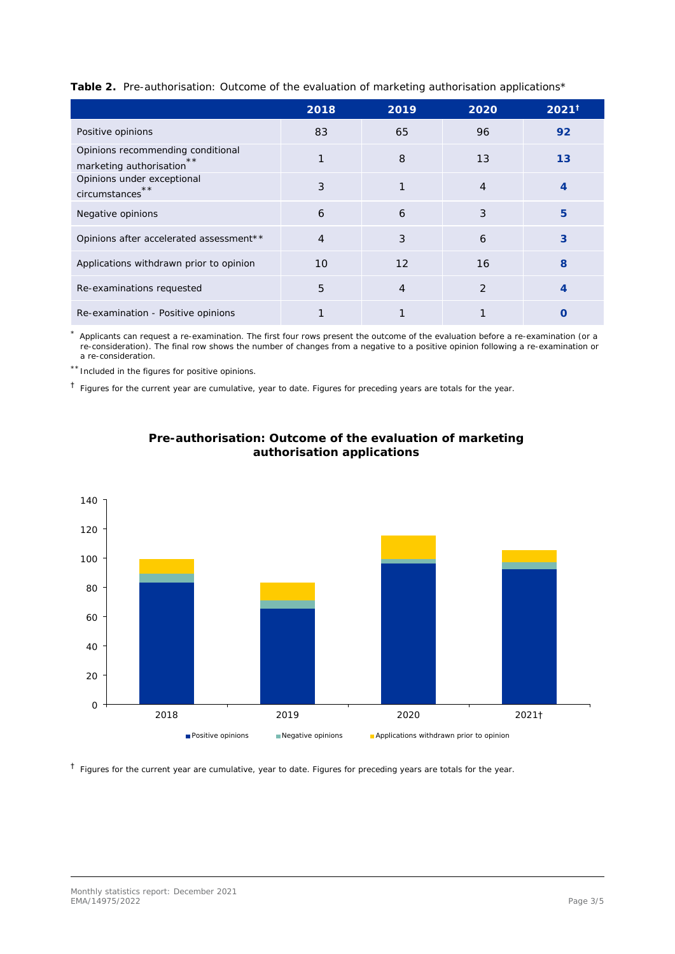| Table 2. Pre-authorisation: Outcome of the evaluation of marketing authorisation applications* |  |  |  |
|------------------------------------------------------------------------------------------------|--|--|--|
|                                                                                                |  |  |  |

|                                                                    | 2018           | 2019 | 2020           | $2021^{\dagger}$ |
|--------------------------------------------------------------------|----------------|------|----------------|------------------|
| Positive opinions                                                  | 83             | 65   | 96             | 92               |
| Opinions recommending conditional<br>**<br>marketing authorisation |                | 8    | 13             | 13               |
| Opinions under exceptional<br>**<br>circumstances                  | 3              |      | $\overline{4}$ | 4                |
| Negative opinions                                                  | 6              | 6    | 3              | 5                |
| Opinions after accelerated assessment**                            | $\overline{4}$ | 3    | 6              | 3                |
| Applications withdrawn prior to opinion                            | 10             | 12   | 16             | 8                |
| Re-examinations requested                                          | 5              | 4    | 2              | 4                |
| Re-examination - Positive opinions                                 |                |      |                | $\Box$           |

\* Applicants can request a re-examination. The first four rows present the outcome of the evaluation before a re-examination (or a re-consideration). The final row shows the number of changes from a negative to a positive opinion following a re-examination or a re-consideration.

\*\* Included in the figures for positive opinions.

 $<sup>†</sup>$  Figures for the current year are cumulative, year to date. Figures for preceding years are totals for the year.</sup>





 $<sup>†</sup>$  Figures for the current year are cumulative, year to date. Figures for preceding years are totals for the year.</sup>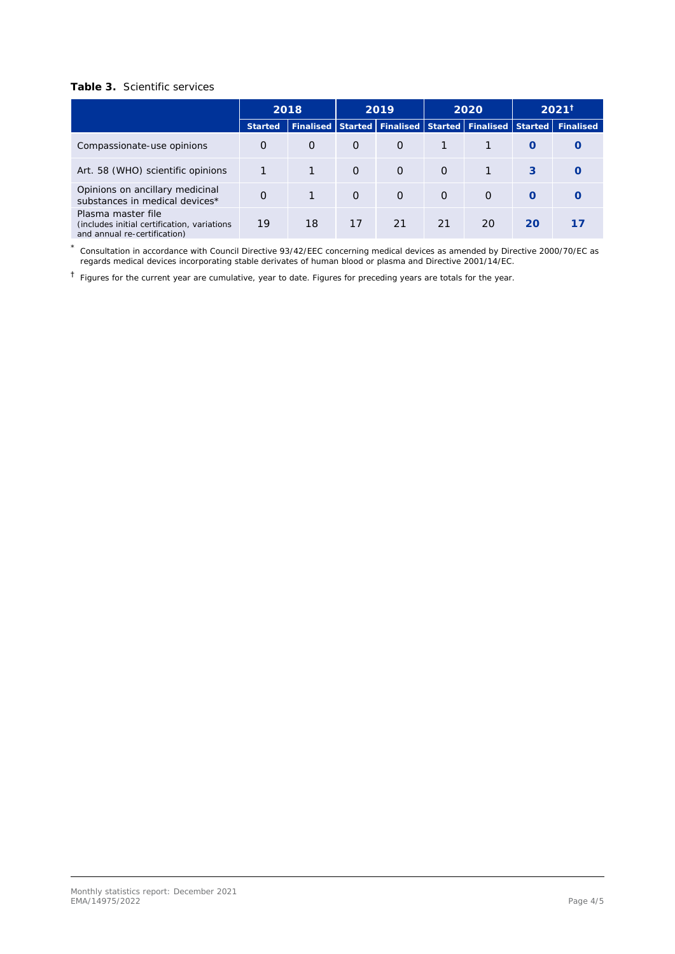## **Table 3.** Scientific services

|                                                                                                    | 2018     |          |                             | 2019     |                     | 2020     | $2021^{\dagger}$  |    |
|----------------------------------------------------------------------------------------------------|----------|----------|-----------------------------|----------|---------------------|----------|-------------------|----|
|                                                                                                    | Started  |          | Finalised Started Finalised |          | Started   Finalised |          | Started Finalised |    |
|                                                                                                    |          |          |                             |          |                     |          |                   |    |
| Compassionate-use opinions                                                                         | $\Omega$ | $\Omega$ | $\Omega$                    | $\Omega$ |                     |          | $\Omega$          |    |
| Art. 58 (WHO) scientific opinions                                                                  |          |          | $\Omega$                    | $\Omega$ | $\Omega$            |          | 3                 |    |
| Opinions on ancillary medicinal<br>substances in medical devices*                                  | $\Omega$ |          | $\Omega$                    | $\Omega$ | $\Omega$            | $\Omega$ | $\Omega$          |    |
| Plasma master file<br>(includes initial certification, variations)<br>and annual re-certification) | 19       | 18       | 17                          | 21       | 21                  | 20       | 20                | 17 |

\* Consultation in accordance with Council Directive 93/42/EEC concerning medical devices as amended by Directive 2000/70/EC as regards medical devices incorporating stable derivates of human blood or plasma and Directive 2001/14/EC.

† Figures for the current year are cumulative, year to date. Figures for preceding years are totals for the year.